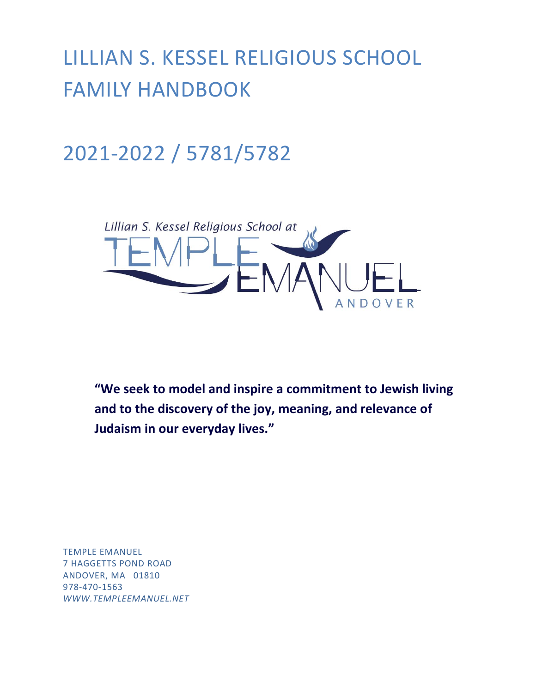LILLIAN S. KESSEL RELIGIOUS SCHOOL FAMILY HANDBOOK

2021-2022 / 5781/5782



**"We seek to model and inspire a commitment to Jewish living and to the discovery of the joy, meaning, and relevance of Judaism in our everyday lives."**

TEMPLE EMANUEL 7 HAGGETTS POND ROAD ANDOVER, MA 01810 978-470-1563 *[WWW.TEMPLEEMANUEL.NET](http://www.templeemanuel.net/)*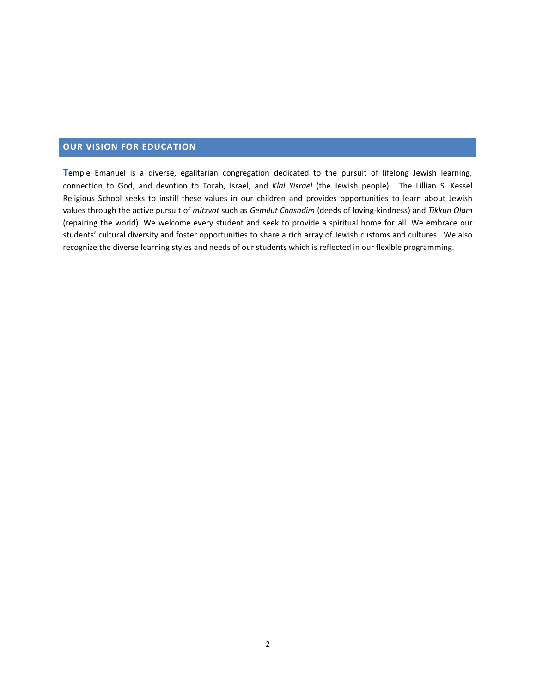# **OUR VISION FOR EDUCATION**

**T**emple Emanuel is a diverse, egalitarian congregation dedicated to the pursuit of lifelong Jewish learning, connection to God, and devotion to Torah, Israel, and *Klal Yisrael* (the Jewish people). The Lillian S. Kessel Religious School seeks to instill these values in our children and provides opportunities to learn about Jewish values through the active pursuit of *mitzvot* such as *Gemilut Chasadim* (deeds of loving-kindness) and *Tikkun Olam*  (repairing the world). We welcome every student and seek to provide a spiritual home for all. We embrace our students' cultural diversity and foster opportunities to share a rich array of Jewish customs and cultures. We also recognize the diverse learning styles and needs of our students which is reflected in our flexible programming.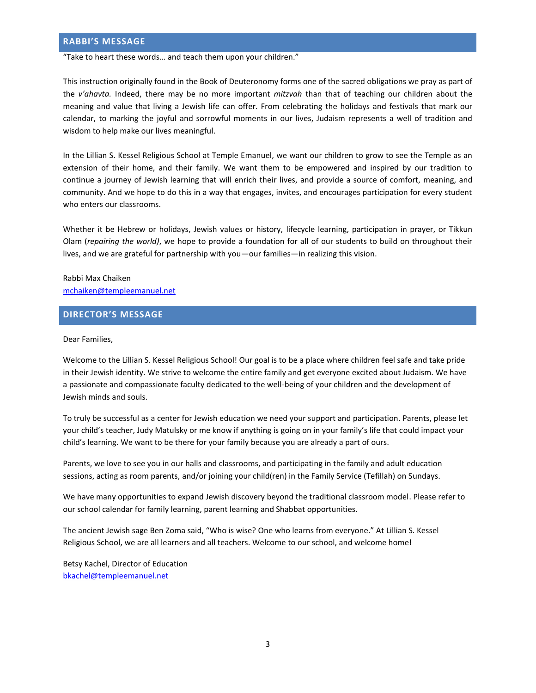## **RABBI'S MESSAGE**

"Take to heart these words… and teach them upon your children."

This instruction originally found in the Book of Deuteronomy forms one of the sacred obligations we pray as part of the *v'ahavta.* Indeed, there may be no more important *mitzvah* than that of teaching our children about the meaning and value that living a Jewish life can offer. From celebrating the holidays and festivals that mark our calendar, to marking the joyful and sorrowful moments in our lives, Judaism represents a well of tradition and wisdom to help make our lives meaningful.

In the Lillian S. Kessel Religious School at Temple Emanuel, we want our children to grow to see the Temple as an extension of their home, and their family. We want them to be empowered and inspired by our tradition to continue a journey of Jewish learning that will enrich their lives, and provide a source of comfort, meaning, and community. And we hope to do this in a way that engages, invites, and encourages participation for every student who enters our classrooms.

Whether it be Hebrew or holidays, Jewish values or history, lifecycle learning, participation in prayer, or Tikkun Olam (*repairing the world)*, we hope to provide a foundation for all of our students to build on throughout their lives, and we are grateful for partnership with you—our families—in realizing this vision.

Rabbi Max Chaiken [mchaiken@templeemanuel.net](mailto:mchaiken@templeemanuel.net)

#### **DIRECTOR'S MESSAGE**

Dear Families,

Welcome to the Lillian S. Kessel Religious School! Our goal is to be a place where children feel safe and take pride in their Jewish identity. We strive to welcome the entire family and get everyone excited about Judaism. We have a passionate and compassionate faculty dedicated to the well-being of your children and the development of Jewish minds and souls.

To truly be successful as a center for Jewish education we need your support and participation. Parents, please let your child's teacher, Judy Matulsky or me know if anything is going on in your family's life that could impact your child's learning. We want to be there for your family because you are already a part of ours.

Parents, we love to see you in our halls and classrooms, and participating in the family and adult education sessions, acting as room parents, and/or joining your child(ren) in the Family Service (Tefillah) on Sundays.

We have many opportunities to expand Jewish discovery beyond the traditional classroom model. Please refer to our school calendar for family learning, parent learning and Shabbat opportunities.

The ancient Jewish sage Ben Zoma said, "Who is wise? One who learns from everyone." At Lillian S. Kessel Religious School, we are all learners and all teachers. Welcome to our school, and welcome home!

Betsy Kachel, Director of Education [bkachel@templeemanuel.net](mailto:bkachel@templeemanuel.net)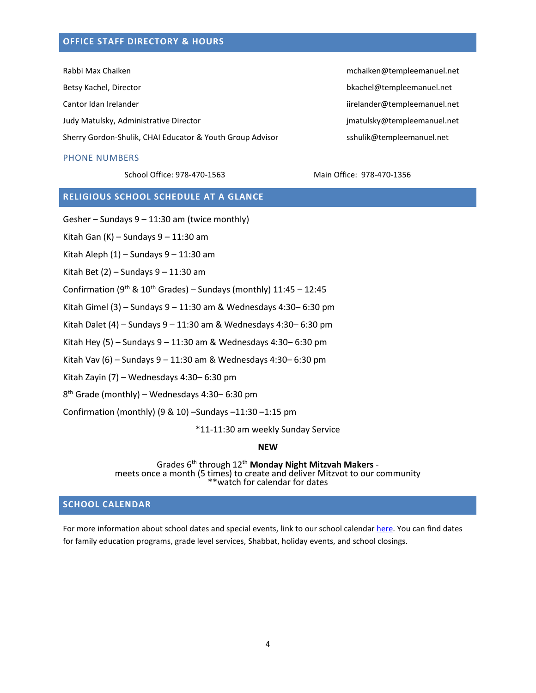## **OFFICE STAFF DIRECTORY & HOURS**

Rabbi Max Chaiken material materials are controlled as a material material material material method of the material material material material method of the material material material material material material material ma Betsy Kachel, Director bkachel@templeemanuel.net

Sherry Gordon-Shulik, CHAI Educator & Youth Group Advisor sshulik@templeemanuel.net

## PHONE NUMBERS

School Office: 978-470-1563 Main Office: 978-470-1356

Cantor Idan Irelander iirelander@templeemanuel.net Judy Matulsky, Administrative Director in the state of the state of the imatulsky@templeemanuel.net

# **RELIGIOUS SCHOOL SCHEDULE AT A GLANCE**

Gesher – Sundays 9 – 11:30 am (twice monthly)

Kitah Gan  $(K)$  – Sundays  $9 - 11:30$  am

Kitah Aleph  $(1)$  – Sundays  $9 - 11:30$  am

Kitah Bet  $(2)$  – Sundays  $9 - 11:30$  am

Confirmation ( $9<sup>th</sup>$  &  $10<sup>th</sup>$  Grades) – Sundays (monthly) 11:45 – 12:45

Kitah Gimel (3) – Sundays 9 – 11:30 am & Wednesdays 4:30– 6:30 pm

Kitah Dalet (4) – Sundays  $9 - 11:30$  am & Wednesdays 4:30–6:30 pm

Kitah Hey (5) – Sundays  $9 - 11:30$  am & Wednesdays 4:30–6:30 pm

Kitah Vav (6) – Sundays 9 – 11:30 am & Wednesdays 4:30– 6:30 pm

Kitah Zayin (7) – Wednesdays 4:30– 6:30 pm

8 th Grade (monthly) – Wednesdays 4:30– 6:30 pm

Confirmation (monthly) (9 & 10) –Sundays –11:30 –1:15 pm

\*11-11:30 am weekly Sunday Service

**NEW**

Grades 6th through 12th **Monday Night Mitzvah Makers** meets once a month (5 times) to create and deliver Mitzvot to our community \*\*watch for calendar for dates

# **SCHOOL CALENDAR**

For more information about school dates and special events, link to our school calenda[r here.](http://www.templeemanuel.net/images/Religious_School_Calendar_FY18.pdf) You can find dates for family education programs, grade level services, Shabbat, holiday events, and school closings.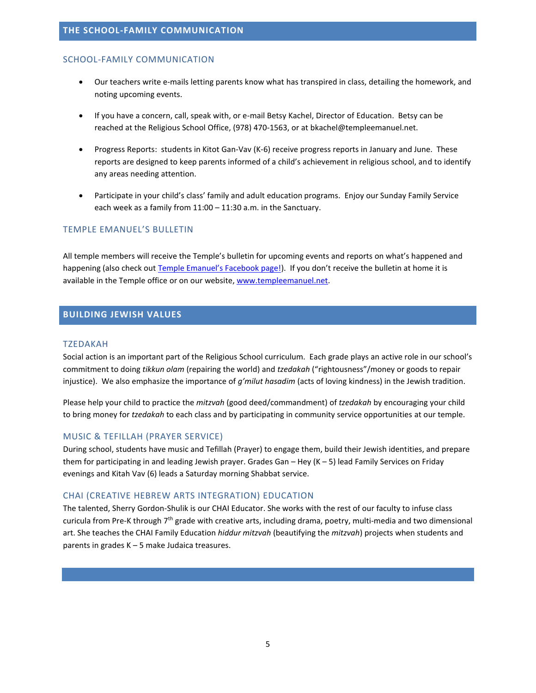#### SCHOOL-FAMILY COMMUNICATION

- Our teachers write e-mails letting parents know what has transpired in class, detailing the homework, and noting upcoming events.
- If you have a concern, call, speak with, or e-mail Betsy Kachel, Director of Education. Betsy can be reached at the Religious School Office, (978) 470-1563, or at bkachel@templeemanuel.net.
- Progress Reports: students in Kitot Gan-Vav (K-6) receive progress reports in January and June. These reports are designed to keep parents informed of a child's achievement in religious school, and to identify any areas needing attention.
- Participate in your child's class' family and adult education programs. Enjoy our Sunday Family Service each week as a family from 11:00 – 11:30 a.m. in the Sanctuary.

#### TEMPLE EMANUEL'S BULLETIN

All temple members will receive the Temple's bulletin for upcoming events and reports on what's happened and happening (also check out [Temple Emanuel's Facebook page!\)](https://www.facebook.com/TempleEmanuelAndoverMA). If you don't receive the bulletin at home it is available in the Temple office or on our website[, www.templeemanuel.net.](http://www.templeemanuel.net/)

#### **BUILDING JEWISH VALUES**

#### TZEDAKAH

Social action is an important part of the Religious School curriculum. Each grade plays an active role in our school's commitment to doing *tikkun olam* (repairing the world) and *tzedakah* ("rightousness"/money or goods to repair injustice). We also emphasize the importance of *g'milut hasadim* (acts of loving kindness) in the Jewish tradition.

Please help your child to practice the *mitzvah* (good deed/commandment) of *tzedakah* by encouraging your child to bring money for *tzedakah* to each class and by participating in community service opportunities at our temple.

#### MUSIC & TEFILLAH (PRAYER SERVICE)

During school, students have music and Tefillah (Prayer) to engage them, build their Jewish identities, and prepare them for participating in and leading Jewish prayer. Grades Gan – Hey (K – 5) lead Family Services on Friday evenings and Kitah Vav (6) leads a Saturday morning Shabbat service.

#### CHAI (CREATIVE HEBREW ARTS INTEGRATION) EDUCATION

The talented, Sherry Gordon-Shulik is our CHAI Educator. She works with the rest of our faculty to infuse class curicula from Pre-K through  $7<sup>th</sup>$  grade with creative arts, including drama, poetry, multi-media and two dimensional art. She teaches the CHAI Family Education *hiddur mitzvah* (beautifying the *mitzvah*) projects when students and parents in grades K – 5 make Judaica treasures.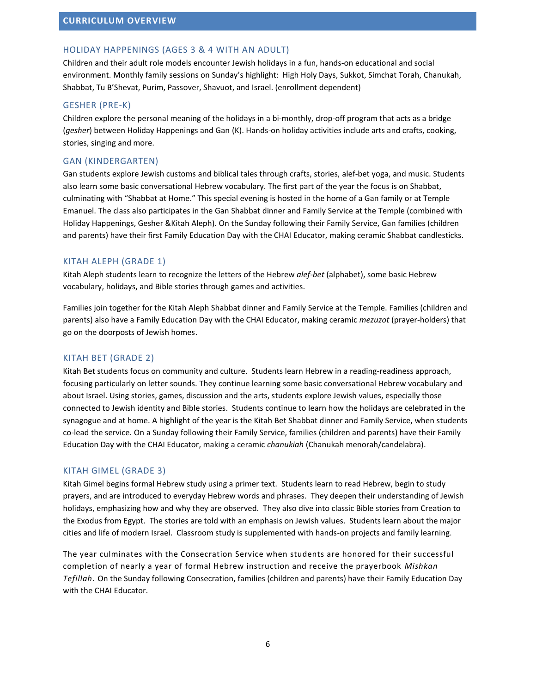## HOLIDAY HAPPENINGS (AGES 3 & 4 WITH AN ADULT)

Children and their adult role models encounter Jewish holidays in a fun, hands-on educational and social environment. Monthly family sessions on Sunday's highlight: High Holy Days, Sukkot, Simchat Torah, Chanukah, Shabbat, Tu B'Shevat, Purim, Passover, Shavuot, and Israel. (enrollment dependent)

## GESHER (PRE-K)

Children explore the personal meaning of the holidays in a bi-monthly, drop-off program that acts as a bridge (*gesher*) between Holiday Happenings and Gan (K). Hands-on holiday activities include arts and crafts, cooking, stories, singing and more.

## GAN (KINDERGARTEN)

Gan students explore Jewish customs and biblical tales through crafts, stories, alef-bet yoga, and music. Students also learn some basic conversational Hebrew vocabulary. The first part of the year the focus is on Shabbat, culminating with "Shabbat at Home." This special evening is hosted in the home of a Gan family or at Temple Emanuel. The class also participates in the Gan Shabbat dinner and Family Service at the Temple (combined with Holiday Happenings, Gesher &Kitah Aleph). On the Sunday following their Family Service, Gan families (children and parents) have their first Family Education Day with the CHAI Educator, making ceramic Shabbat candlesticks.

#### KITAH ALEPH (GRADE 1)

Kitah Aleph students learn to recognize the letters of the Hebrew *alef-bet* (alphabet), some basic Hebrew vocabulary, holidays, and Bible stories through games and activities.

Families join together for the Kitah Aleph Shabbat dinner and Family Service at the Temple. Families (children and parents) also have a Family Education Day with the CHAI Educator, making ceramic *mezuzot* (prayer-holders) that go on the doorposts of Jewish homes.

## KITAH BET (GRADE 2)

Kitah Bet students focus on community and culture. Students learn Hebrew in a reading-readiness approach, focusing particularly on letter sounds. They continue learning some basic conversational Hebrew vocabulary and about Israel. Using stories, games, discussion and the arts, students explore Jewish values, especially those connected to Jewish identity and Bible stories. Students continue to learn how the holidays are celebrated in the synagogue and at home. A highlight of the year is the Kitah Bet Shabbat dinner and Family Service, when students co-lead the service. On a Sunday following their Family Service, families (children and parents) have their Family Education Day with the CHAI Educator, making a ceramic *chanukiah* (Chanukah menorah/candelabra).

#### KITAH GIMEL (GRADE 3)

Kitah Gimel begins formal Hebrew study using a primer text. Students learn to read Hebrew, begin to study prayers, and are introduced to everyday Hebrew words and phrases. They deepen their understanding of Jewish holidays, emphasizing how and why they are observed. They also dive into classic Bible stories from Creation to the Exodus from Egypt. The stories are told with an emphasis on Jewish values. Students learn about the major cities and life of modern Israel. Classroom study is supplemented with hands-on projects and family learning.

The year culminates with the Consecration Service when students are honored for their successful completion of nearly a year of formal Hebrew instruction and receive the prayerbook *Mishkan Tefillah*. On the Sunday following Consecration, families (children and parents) have their Family Education Day with the CHAI Educator.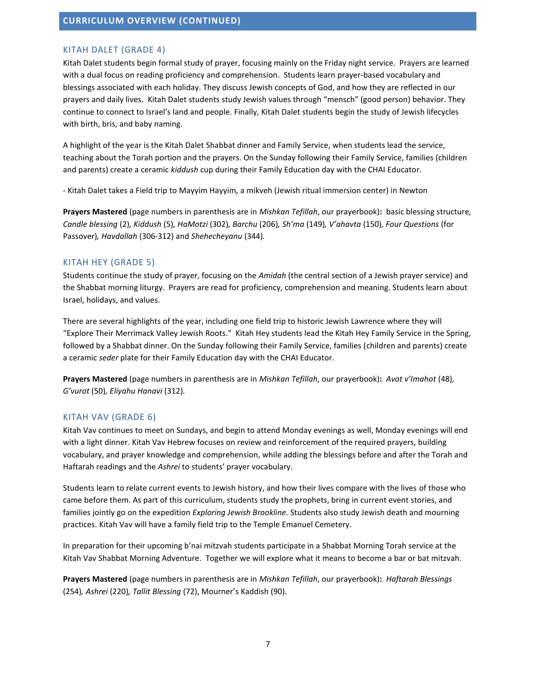#### KITAH DALET (GRADE 4)

Kitah Dalet students begin formal study of prayer, focusing mainly on the Friday night service. Prayers are learned with a dual focus on reading proficiency and comprehension. Students learn prayer-based vocabulary and blessings associated with each holiday. They discuss Jewish concepts of God, and how they are reflected in our prayers and daily lives. Kitah Dalet students study Jewish values through "mensch" (good person) behavior. They continue to connect to Israel's land and people. Finally, Kitah Dalet students begin the study of Jewish lifecycles with birth, bris, and baby naming.

A highlight of the year is the Kitah Dalet Shabbat dinner and Family Service, when students lead the service, teaching about the Torah portion and the prayers. On the Sunday following their Family Service, families (children and parents) create a ceramic *kiddush* cup during their Family Education day with the CHAI Educator.

- Kitah Dalet takes a Field trip to Mayyim Hayyim, a mikveh (Jewish ritual immersion center) in Newton

**Prayers Mastered** (page numbers in parenthesis are in *Mishkan Tefillah*, our prayerbook)**:** basic blessing structure*, Candle blessing* (2)*, Kiddush* (5)*, HaMotzi* (302)*, Barchu* (206)*, Sh'ma* (149)*, V'ahavta* (150)*, Four Questions* (for Passover)*, Havdallah* (306-312) and *Shehecheyanu* (344)*.*

#### KITAH HEY (GRADE 5)

Students continue the study of prayer, focusing on the *Amidah* (the central section of a Jewish prayer service) and the Shabbat morning liturgy. Prayers are read for proficiency, comprehension and meaning. Students learn about Israel, holidays, and values.

There are several highlights of the year, including one field trip to historic Jewish Lawrence where they will "Explore Their Merrimack Valley Jewish Roots." Kitah Hey students lead the Kitah Hey Family Service in the Spring, followed by a Shabbat dinner. On the Sunday following their Family Service, families (children and parents) create a ceramic *seder* plate for their Family Education day with the CHAI Educator.

**Prayers Mastered** (page numbers in parenthesis are in *Mishkan Tefillah*, our prayerbook)**:** *Avot v'Imahot* (48)*, G'vurot* (50)*, Eliyahu Hanavi* (312)*.*

#### KITAH VAV (GRADE 6)

Kitah Vav continues to meet on Sundays, and begin to attend Monday evenings as well, Monday evenings will end with a light dinner. Kitah Vav Hebrew focuses on review and reinforcement of the required prayers, building vocabulary, and prayer knowledge and comprehension, while adding the blessings before and after the Torah and Haftarah readings and the *Ashrei* to students' prayer vocabulary.

Students learn to relate current events to Jewish history, and how their lives compare with the lives of those who came before them. As part of this curriculum, students study the prophets, bring in current event stories, and families jointly go on the expedition *Exploring Jewish Brookline.* Students also study Jewish death and mourning practices. Kitah Vav will have a family field trip to the Temple Emanuel Cemetery.

In preparation for their upcoming b'nai mitzvah students participate in a Shabbat Morning Torah service at the Kitah Vav Shabbat Morning Adventure. Together we will explore what it means to become a bar or bat mitzvah.

**Prayers Mastered** (page numbers in parenthesis are in *Mishkan Tefillah*, our prayerbook)**:** *Haftarah Blessings* (254)*, Ashrei* (220)*, Tallit Blessing* (72), Mourner's Kaddish (90).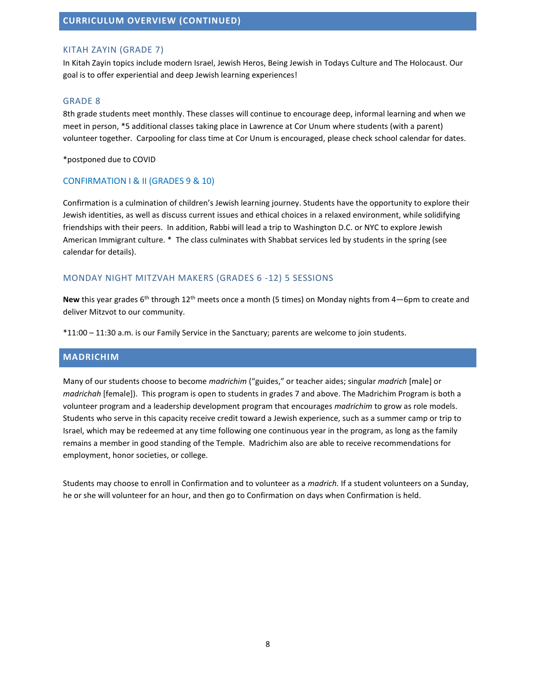## KITAH ZAYIN (GRADE 7)

In Kitah Zayin topics include modern Israel, Jewish Heros, Being Jewish in Todays Culture and The Holocaust. Our goal is to offer experiential and deep Jewish learning experiences!

#### GRADE 8

8th grade students meet monthly. These classes will continue to encourage deep, informal learning and when we meet in person, \*5 additional classes taking place in Lawrence at Cor Unum where students (with a parent) volunteer together. Carpooling for class time at Cor Unum is encouraged, please check school calendar for dates.

\*postponed due to COVID

#### CONFIRMATION I & II (GRADES 9 & 10)

Confirmation is a culmination of children's Jewish learning journey. Students have the opportunity to explore their Jewish identities, as well as discuss current issues and ethical choices in a relaxed environment, while solidifying friendships with their peers. In addition, Rabbi will lead a trip to Washington D.C. or NYC to explore Jewish American Immigrant culture. \* The class culminates with Shabbat services led by students in the spring (see calendar for details).

### MONDAY NIGHT MITZVAH MAKERS (GRADES 6 -12) 5 SESSIONS

New this year grades 6<sup>th</sup> through 12<sup>th</sup> meets once a month (5 times) on Monday nights from 4—6pm to create and deliver Mitzvot to our community.

\*11:00 – 11:30 a.m. is our Family Service in the Sanctuary; parents are welcome to join students.

## **MADRICHIM**

Many of our students choose to become *madrichim* ("guides," or teacher aides; singular *madrich* [male] or *madrichah* [female]). This program is open to students in grades 7 and above. The Madrichim Program is both a volunteer program and a leadership development program that encourages *madrichim* to grow as role models. Students who serve in this capacity receive credit toward a Jewish experience, such as a summer camp or trip to Israel, which may be redeemed at any time following one continuous year in the program, as long as the family remains a member in good standing of the Temple. Madrichim also are able to receive recommendations for employment, honor societies, or college.

Students may choose to enroll in Confirmation and to volunteer as a *madrich.* If a student volunteers on a Sunday, he or she will volunteer for an hour, and then go to Confirmation on days when Confirmation is held.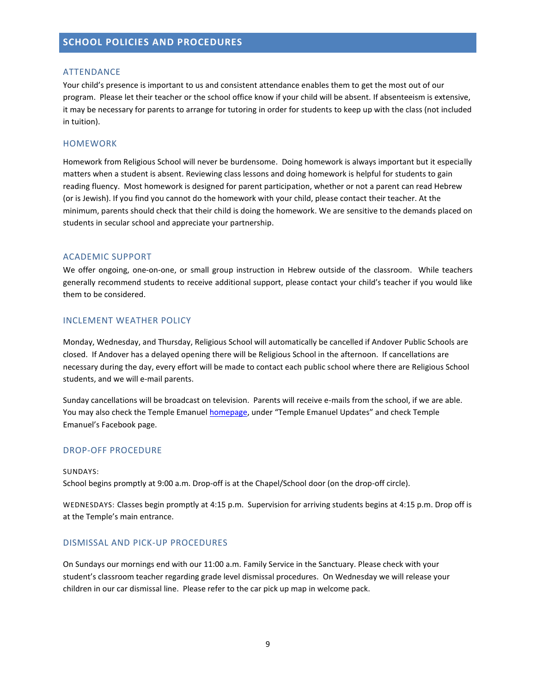#### ATTENDANCE

Your child's presence is important to us and consistent attendance enables them to get the most out of our program. Please let their teacher or the school office know if your child will be absent. If absenteeism is extensive, it may be necessary for parents to arrange for tutoring in order for students to keep up with the class (not included in tuition).

#### HOMEWORK

Homework from Religious School will never be burdensome. Doing homework is always important but it especially matters when a student is absent. Reviewing class lessons and doing homework is helpful for students to gain reading fluency. Most homework is designed for parent participation, whether or not a parent can read Hebrew (or is Jewish). If you find you cannot do the homework with your child, please contact their teacher. At the minimum, parents should check that their child is doing the homework. We are sensitive to the demands placed on students in secular school and appreciate your partnership.

#### ACADEMIC SUPPORT

We offer ongoing, one-on-one, or small group instruction in Hebrew outside of the classroom. While teachers generally recommend students to receive additional support, please contact your child's teacher if you would like them to be considered.

#### INCLEMENT WEATHER POLICY

Monday, Wednesday, and Thursday, Religious School will automatically be cancelled if Andover Public Schools are closed. If Andover has a delayed opening there will be Religious School in the afternoon. If cancellations are necessary during the day, every effort will be made to contact each public school where there are Religious School students, and we will e-mail parents.

Sunday cancellations will be broadcast on television. Parents will receive e-mails from the school, if we are able. You may also check the Temple Emanue[l homepage](http://www.templeemanuel.net/), under "Temple Emanuel Updates" and check Temple Emanuel's Facebook page.

#### DROP-OFF PROCEDURE

#### SUNDAYS:

School begins promptly at 9:00 a.m. Drop-off is at the Chapel/School door (on the drop-off circle).

WEDNESDAYS: Classes begin promptly at 4:15 p.m. Supervision for arriving students begins at 4:15 p.m. Drop off is at the Temple's main entrance.

#### DISMISSAL AND PICK-UP PROCEDURES

On Sundays our mornings end with our 11:00 a.m. Family Service in the Sanctuary. Please check with your student's classroom teacher regarding grade level dismissal procedures. On Wednesday we will release your children in our car dismissal line. Please refer to the car pick up map in welcome pack.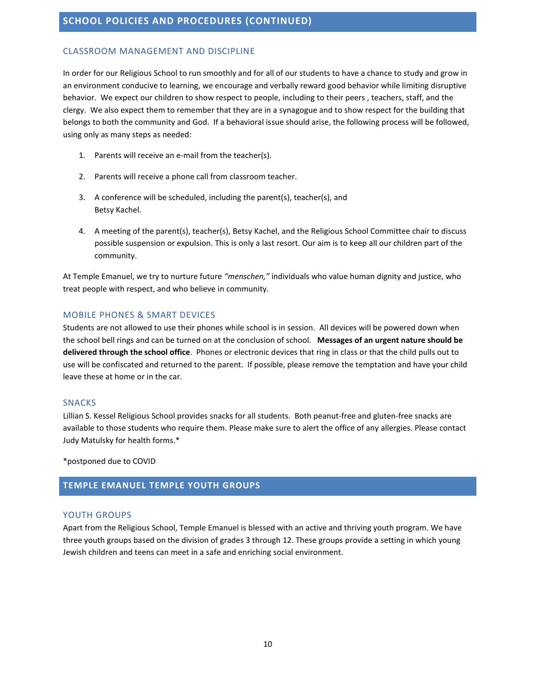## CLASSROOM MANAGEMENT AND DISCIPLINE

In order for our Religious School to run smoothly and for all of our students to have a chance to study and grow in an environment conducive to learning, we encourage and verbally reward good behavior while limiting disruptive behavior. We expect our children to show respect to people, including to their peers , teachers, staff, and the clergy. We also expect them to remember that they are in a synagogue and to show respect for the building that belongs to both the community and God. If a behavioral issue should arise, the following process will be followed, using only as many steps as needed:

- 1. Parents will receive an e-mail from the teacher(s).
- 2. Parents will receive a phone call from classroom teacher.
- 3. A conference will be scheduled, including the parent(s), teacher(s), and Betsy Kachel.
- 4. A meeting of the parent(s), teacher(s), Betsy Kachel, and the Religious School Committee chair to discuss possible suspension or expulsion. This is only a last resort. Our aim is to keep all our children part of the community.

At Temple Emanuel, we try to nurture future *"menschen,"* individuals who value human dignity and justice, who treat people with respect, and who believe in community.

# MOBILE PHONES & SMART DEVICES

Students are not allowed to use their phones while school is in session. All devices will be powered down when the school bell rings and can be turned on at the conclusion of school. **Messages of an urgent nature should be delivered through the school office**. Phones or electronic devices that ring in class or that the child pulls out to use will be confiscated and returned to the parent. If possible, please remove the temptation and have your child leave these at home or in the car.

## SNACKS

Lillian S. Kessel Religious School provides snacks for all students. Both peanut-free and gluten-free snacks are available to those students who require them. Please make sure to alert the office of any allergies. Please contact Judy Matulsky for health forms.\*

\*postponed due to COVID

# **TEMPLE EMANUEL TEMPLE YOUTH GROUPS**

## YOUTH GROUPS

Apart from the Religious School, Temple Emanuel is blessed with an active and thriving youth program. We have three youth groups based on the division of grades 3 through 12. These groups provide a setting in which young Jewish children and teens can meet in a safe and enriching social environment.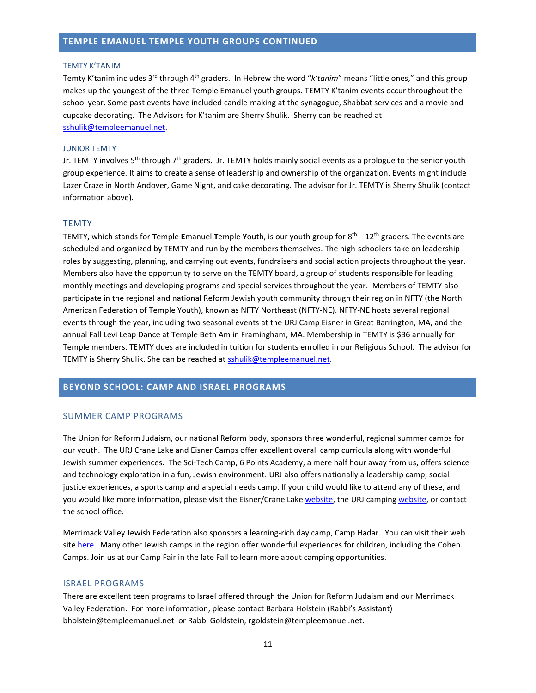#### **TEMPLE EMANUEL TEMPLE YOUTH GROUPS CONTINUED**

#### TEMTY K'TANIM

Temty K'tanim includes 3<sup>rd</sup> through 4<sup>th</sup> graders. In Hebrew the word "*k'tanim*" means "little ones," and this group makes up the youngest of the three Temple Emanuel youth groups. TEMTY K'tanim events occur throughout the school year. Some past events have included candle-making at the synagogue, Shabbat services and a movie and cupcake decorating. The Advisors for K'tanim are Sherry Shulik. Sherry can be reached at [sshulik@templeemanuel.net.](mailto:sshulik@templeemanuel.net)

#### JUNIOR TEMTY

Jr. TEMTY involves 5<sup>th</sup> through 7<sup>th</sup> graders. Jr. TEMTY holds mainly social events as a prologue to the senior youth group experience. It aims to create a sense of leadership and ownership of the organization. Events might include Lazer Craze in North Andover, Game Night, and cake decorating. The advisor for Jr. TEMTY is Sherry Shulik (contact information above).

#### **TEMTY**

TEMTY, which stands for **T**emple **E**manuel **T**emple **Y**outh, is our youth group for 8 th – 12th graders. The events are scheduled and organized by TEMTY and run by the members themselves. The high-schoolers take on leadership roles by suggesting, planning, and carrying out events, fundraisers and social action projects throughout the year. Members also have the opportunity to serve on the TEMTY board, a group of students responsible for leading monthly meetings and developing programs and special services throughout the year. Members of TEMTY also participate in the regional and national Reform Jewish youth community through their region in NFTY (the North American Federation of Temple Youth), known as NFTY Northeast (NFTY-NE). NFTY-NE hosts several regional events through the year, including two seasonal events at the URJ Camp Eisner in Great Barrington, MA, and the annual Fall Levi Leap Dance at Temple Beth Am in Framingham, MA. Membership in TEMTY is \$36 annually for Temple members. TEMTY dues are included in tuition for students enrolled in our Religious School. The advisor for TEMTY is Sherry Shulik. She can be reached at [sshulik@templeemanuel.net.](mailto:sshulik@templeemanuel.net)

## **BEYOND SCHOOL: CAMP AND ISRAEL PROGRAMS**

#### SUMMER CAMP PROGRAMS

The Union for Reform Judaism, our national Reform body, sponsors three wonderful, regional summer camps for our youth. The URJ Crane Lake and Eisner Camps offer excellent overall camp curricula along with wonderful Jewish summer experiences. The Sci-Tech Camp, 6 Points Academy, a mere half hour away from us, offers science and technology exploration in a fun, Jewish environment. URJ also offers nationally a leadership camp, social justice experiences, a sports camp and a special needs camp. If your child would like to attend any of these, and you would like more information, please visit the Eisner/Crane Lake [website,](http://necamps.urjcamps.org/) the URJ campin[g website,](http://www.urjcamps.org/) or contact the school office.

Merrimack Valley Jewish Federation also sponsors a learning-rich day camp, Camp Hadar. You can visit their web site [here.](http://www.camphadar.org/) Many other Jewish camps in the region offer wonderful experiences for children, including the Cohen Camps. Join us at our Camp Fair in the late Fall to learn more about camping opportunities.

#### ISRAEL PROGRAMS

There are excellent teen programs to Israel offered through the Union for Reform Judaism and our Merrimack Valley Federation. For more information, please contact Barbara Holstein (Rabbi's Assistant) bholstein@templeemanuel.net or Rabbi Goldstein, rgoldstein@templeemanuel.net.